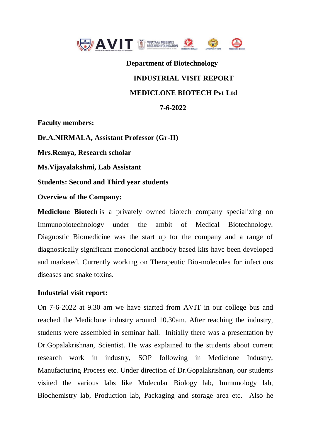

**Department of Biotechnology**

## **INDUSTRIAL VISIT REPORT**

## **MEDICLONE BIOTECH Pvt Ltd**

 **7-6-2022**

**Faculty members:**

**Dr.A.NIRMALA, Assistant Professor (Gr-II)**

**Mrs.Remya, Research scholar**

**Ms.Vijayalakshmi, Lab Assistant**

**Students: Second and Third year students**

**Overview of the Company:**

**Mediclone Biotech** is a privately owned biotech company specializing on Immunobiotechnology under the ambit of Medical Biotechnology. Diagnostic Biomedicine was the start up for the company and a range of diagnostically significant monoclonal antibody-based kits have been developed and marketed. Currently working on Therapeutic Bio-molecules for infectious diseases and snake toxins.

## **Industrial visit report:**

On 7-6-2022 at 9.30 am we have started from AVIT in our college bus and reached the Mediclone industry around 10.30am. After reaching the industry, students were assembled in seminar hall. Initially there was a presentation by Dr.Gopalakrishnan, Scientist. He was explained to the students about current research work in industry, SOP following in Mediclone Industry, Manufacturing Process etc. Under direction of Dr.Gopalakrishnan, our students visited the various labs like Molecular Biology lab, Immunology lab, Biochemistry lab, Production lab, Packaging and storage area etc. Also he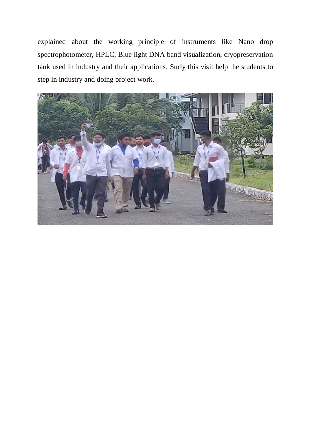explained about the working principle of instruments like Nano drop spectrophotometer, HPLC, Blue light DNA band visualization, cryopreservation tank used in industry and their applications. Surly this visit help the students to step in industry and doing project work.

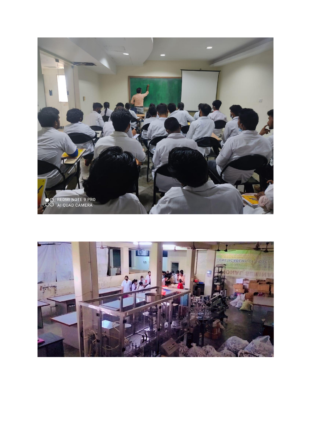

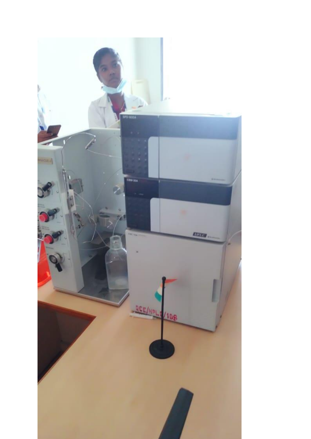